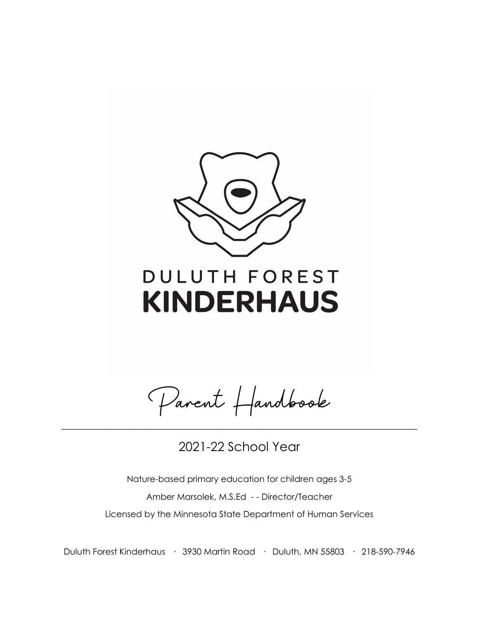

# DULUTH FOREST **KINDERHAUS**

Parent Handbook

2021-22 School Year

\_\_\_\_\_\_\_\_\_\_\_\_\_\_\_\_\_\_\_\_\_\_\_\_\_\_\_\_\_\_\_\_\_\_\_\_\_\_\_\_\_\_\_\_\_\_\_\_\_\_\_\_\_\_\_\_\_\_\_\_\_\_\_\_\_\_\_\_\_\_

Nature-based primary education for children ages 3-5 Amber Marsolek, M.S.Ed - - Director/Teacher Licensed by the Minnesota State Department of Human Services

Duluth Forest Kinderhaus · 3930 Martin Road · Duluth, MN 55803 · 218-590-7946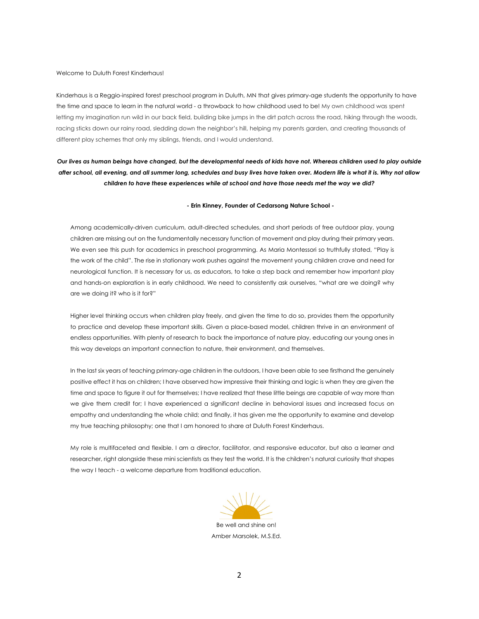Welcome to Duluth Forest Kinderhaus!

Kinderhaus is a Reggio-inspired forest preschool program in Duluth, MN that gives primary-age students the opportunity to have the time and space to learn in the natural world - a throwback to how childhood used to be! My own childhood was spent letting my imagination run wild in our back field, building bike jumps in the dirt patch across the road, hiking through the woods, racing sticks down our rainy road, sledding down the neighbor's hill, helping my parents garden, and creating thousands of different play schemes that only my siblings, friends, and I would understand.

## *Our lives as human beings have changed, but the developmental needs of kids have not. Whereas children used to play outside after school, all evening, and all summer long, schedules and busy lives have taken over. Modern life is what it is. Why not allow children to have these experiences while at school and have those needs met the way we did?*

#### **- Erin Kinney, Founder of Cedarsong Nature School -**

Among academically-driven curriculum, adult-directed schedules, and short periods of free outdoor play, young children are missing out on the fundamentally necessary function of movement and play during their primary years. We even see this push for academics in preschool programming. As Maria Montessori so truthfully stated, "Play is the work of the child". The rise in stationary work pushes against the movement young children crave and need for neurological function. It is necessary for us, as educators, to take a step back and remember how important play and hands-on exploration is in early childhood. We need to consistently ask ourselves, "what are we doing? why are we doing it? who is it for?"

Higher level thinking occurs when children play freely, and given the time to do so, provides them the opportunity to practice and develop these important skills. Given a place-based model, children thrive in an environment of endless opportunities. With plenty of research to back the importance of nature play, educating our young ones in this way develops an important connection to nature, their environment, and themselves.

In the last six years of teaching primary-age children in the outdoors, I have been able to see firsthand the genuinely positive effect it has on children; I have observed how impressive their thinking and logic is when they are given the time and space to figure it out for themselves; I have realized that these little beings are capable of way more than we give them credit for; I have experienced a significant decline in behavioral issues and increased focus on empathy and understanding the whole child; and finally, it has given me the opportunity to examine and develop my true teaching philosophy; one that I am honored to share at Duluth Forest Kinderhaus.

My role is multifaceted and flexible. I am a director, facilitator, and responsive educator, but also a learner and researcher, right alongside these mini scientists as they test the world. It is the children's natural curiosity that shapes the way I teach - a welcome departure from traditional education.



Amber Marsolek, M.S.Ed.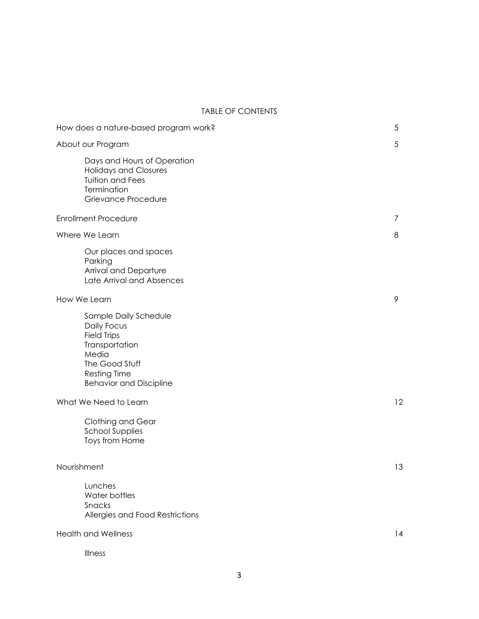### TABLE OF CONTENTS

| How does a nature-based program work?                                                                                                                            | 5  |
|------------------------------------------------------------------------------------------------------------------------------------------------------------------|----|
| About our Program                                                                                                                                                | 5  |
| Days and Hours of Operation<br><b>Holidays and Closures</b><br><b>Tuition and Fees</b><br>Termination<br>Grievance Procedure                                     |    |
| <b>Enrollment Procedure</b>                                                                                                                                      | 7  |
| Where We Learn                                                                                                                                                   | 8  |
| Our places and spaces<br>Parking<br>Arrival and Departure<br>Late Arrival and Absences                                                                           |    |
| How We Learn                                                                                                                                                     | 9  |
| Sample Daily Schedule<br>Daily Focus<br><b>Field Trips</b><br>Transportation<br>Media<br>The Good Stuff<br><b>Resting Time</b><br><b>Behavior and Discipline</b> |    |
| What We Need to Learn                                                                                                                                            | 12 |
| Clothing and Gear<br><b>School Supplies</b><br>Toys from Home                                                                                                    |    |
| Nourishment                                                                                                                                                      | 13 |
| Lunches<br>Water bottles<br>Snacks<br>Allergies and Food Restrictions                                                                                            |    |
| <b>Health and Wellness</b>                                                                                                                                       | 14 |
| Illness                                                                                                                                                          |    |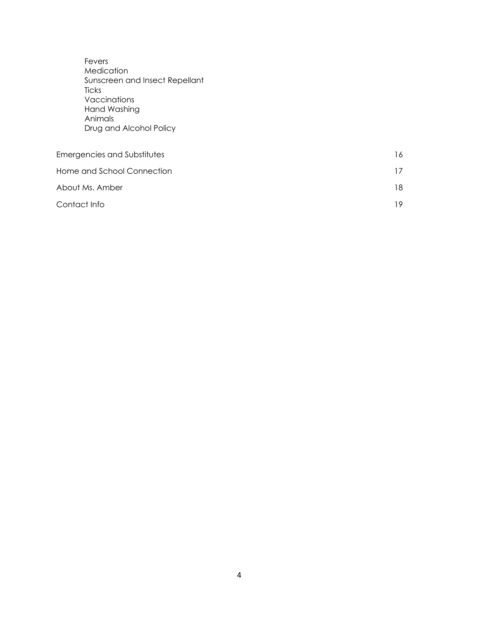| Fevers<br>Medication<br>Sunscreen and Insect Repellant<br>Ticks<br>Vaccinations<br>Hand Washing<br>Animals<br>Drug and Alcohol Policy |    |
|---------------------------------------------------------------------------------------------------------------------------------------|----|
| Emergencies and Substitutes                                                                                                           | 16 |
| Home and School Connection                                                                                                            | 17 |
| About Ms. Amber                                                                                                                       | 18 |
| Contact Info                                                                                                                          | 19 |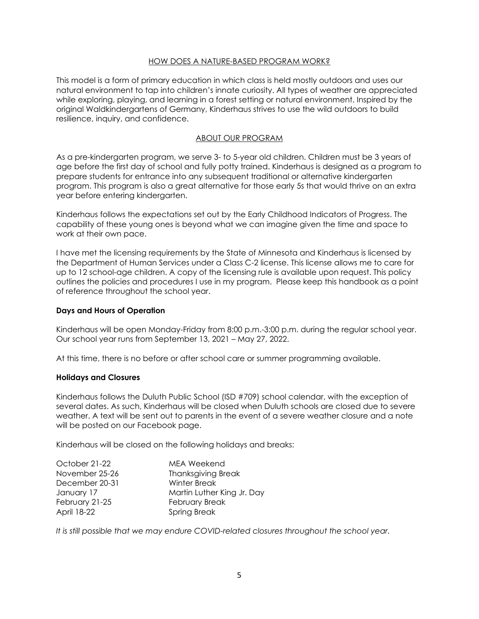### HOW DOES A NATURE-BASED PROGRAM WORK?

This model is a form of primary education in which class is held mostly outdoors and uses our natural environment to tap into children's innate curiosity. All types of weather are appreciated while exploring, playing, and learning in a forest setting or natural environment. Inspired by the original Waldkindergartens of Germany, Kinderhaus strives to use the wild outdoors to build resilience, inquiry, and confidence.

### ABOUT OUR PROGRAM

As a pre-kindergarten program, we serve 3- to 5-year old children. Children must be 3 years of age before the first day of school and fully potty trained. Kinderhaus is designed as a program to prepare students for entrance into any subsequent traditional or alternative kindergarten program. This program is also a great alternative for those early 5s that would thrive on an extra year before entering kindergarten.

Kinderhaus follows the expectations set out by the Early Childhood Indicators of Progress. The capability of these young ones is beyond what we can imagine given the time and space to work at their own pace.

I have met the licensing requirements by the State of Minnesota and Kinderhaus is licensed by the Department of Human Services under a Class C-2 license. This license allows me to care for up to 12 school-age children. A copy of the licensing rule is available upon request. This policy outlines the policies and procedures I use in my program. Please keep this handbook as a point of reference throughout the school year.

#### **Days and Hours of Operation**

Kinderhaus will be open Monday-Friday from 8:00 p.m.-3:00 p.m. during the regular school year. Our school year runs from September 13, 2021 – May 27, 2022.

At this time, there is no before or after school care or summer programming available.

#### **Holidays and Closures**

Kinderhaus follows the Duluth Public School (ISD #709) school calendar, with the exception of several dates. As such, Kinderhaus will be closed when Duluth schools are closed due to severe weather. A text will be sent out to parents in the event of a severe weather closure and a note will be posted on our Facebook page.

Kinderhaus will be closed on the following holidays and breaks:

| October 21-22  | <b>MEA Weekend</b>         |
|----------------|----------------------------|
| November 25-26 | <b>Thanksgiving Break</b>  |
| December 20-31 | Winter Break               |
| January 17     | Martin Luther King Jr. Day |
| February 21-25 | February Break             |
| April 18-22    | <b>Spring Break</b>        |

*It is still possible that we may endure COVID-related closures throughout the school year.*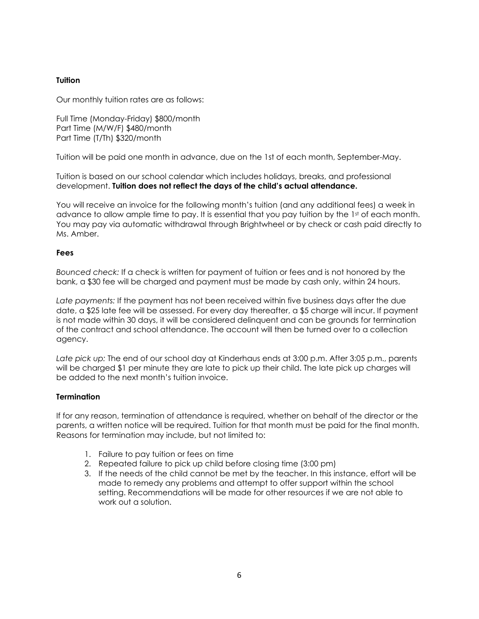## **Tuition**

Our monthly tuition rates are as follows:

Full Time (Monday-Friday) \$800/month Part Time (M/W/F) \$480/month Part Time (T/Th) \$320/month

Tuition will be paid one month in advance, due on the 1st of each month, September-May.

Tuition is based on our school calendar which includes holidays, breaks, and professional development. **Tuition does not reflect the days of the child's actual attendance.** 

You will receive an invoice for the following month's tuition (and any additional fees) a week in advance to allow ample time to pay. It is essential that you pay tuition by the 1st of each month. You may pay via automatic withdrawal through Brightwheel or by check or cash paid directly to Ms. Amber.

## **Fees**

*Bounced check:* If a check is written for payment of tuition or fees and is not honored by the bank, a \$30 fee will be charged and payment must be made by cash only, within 24 hours.

*Late payments:* If the payment has not been received within five business days after the due date, a \$25 late fee will be assessed. For every day thereafter, a \$5 charge will incur. If payment is not made within 30 days, it will be considered delinquent and can be grounds for termination of the contract and school attendance. The account will then be turned over to a collection agency.

*Late pick up:* The end of our school day at Kinderhaus ends at 3:00 p.m. After 3:05 p.m., parents will be charged \$1 per minute they are late to pick up their child. The late pick up charges will be added to the next month's tuition invoice.

## **Termination**

If for any reason, termination of attendance is required, whether on behalf of the director or the parents, a written notice will be required. Tuition for that month must be paid for the final month. Reasons for termination may include, but not limited to:

- 1. Failure to pay tuition or fees on time
- 2. Repeated failure to pick up child before closing time (3:00 pm)
- 3. If the needs of the child cannot be met by the teacher. In this instance, effort will be made to remedy any problems and attempt to offer support within the school setting. Recommendations will be made for other resources if we are not able to work out a solution.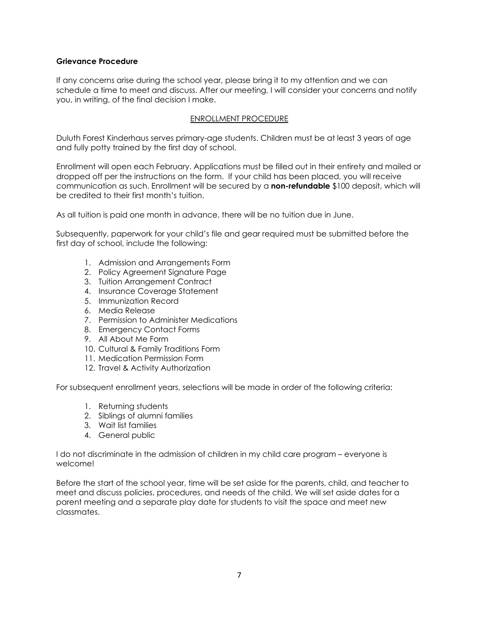## **Grievance Procedure**

If any concerns arise during the school year, please bring it to my attention and we can schedule a time to meet and discuss. After our meeting, I will consider your concerns and notify you, in writing, of the final decision I make.

## ENROLLMENT PROCEDURE

Duluth Forest Kinderhaus serves primary-age students. Children must be at least 3 years of age and fully potty trained by the first day of school.

Enrollment will open each February. Applications must be filled out in their entirety and mailed or dropped off per the instructions on the form. If your child has been placed, you will receive communication as such. Enrollment will be secured by a **non-refundable** \$100 deposit, which will be credited to their first month's tuition.

As all tuition is paid one month in advance, there will be no tuition due in June.

Subsequently, paperwork for your child's file and gear required must be submitted before the first day of school, include the following:

- 1. Admission and Arrangements Form
- 2. Policy Agreement Signature Page
- 3. Tuition Arrangement Contract
- 4. Insurance Coverage Statement
- 5. Immunization Record
- 6. Media Release
- 7. Permission to Administer Medications
- 8. Emergency Contact Forms
- 9. All About Me Form
- 10. Cultural & Family Traditions Form
- 11. Medication Permission Form
- 12. Travel & Activity Authorization

For subsequent enrollment years, selections will be made in order of the following criteria:

- 1. Returning students
- 2. Siblings of alumni families
- 3. Wait list families
- 4. General public

I do not discriminate in the admission of children in my child care program – everyone is welcome!

Before the start of the school year, time will be set aside for the parents, child, and teacher to meet and discuss policies, procedures, and needs of the child. We will set aside dates for a parent meeting and a separate play date for students to visit the space and meet new classmates.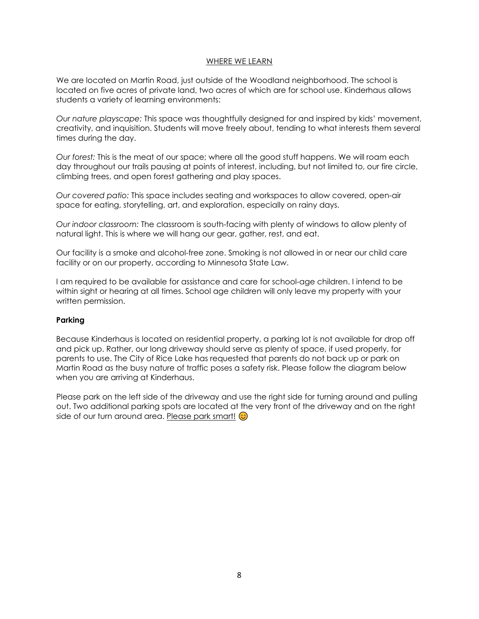### WHERE WE LEARN

We are located on Martin Road, just outside of the Woodland neighborhood. The school is located on five acres of private land, two acres of which are for school use. Kinderhaus allows students a variety of learning environments:

*Our nature playscape:* This space was thoughtfully designed for and inspired by kids' movement, creativity, and inquisition. Students will move freely about, tending to what interests them several times during the day.

*Our forest:* This is the meat of our space; where all the good stuff happens. We will roam each day throughout our trails pausing at points of interest, including, but not limited to, our fire circle, climbing trees, and open forest gathering and play spaces.

*Our covered patio:* This space includes seating and workspaces to allow covered, open-air space for eating, storytelling, art, and exploration, especially on rainy days.

*Our indoor classroom:* The classroom is south-facing with plenty of windows to allow plenty of natural light. This is where we will hang our gear, gather, rest, and eat.

Our facility is a smoke and alcohol-free zone. Smoking is not allowed in or near our child care facility or on our property, according to Minnesota State Law.

I am required to be available for assistance and care for school-age children. I intend to be within sight or hearing at all times. School age children will only leave my property with your written permission.

## **Parking**

Because Kinderhaus is located on residential property, a parking lot is not available for drop off and pick up. Rather, our long driveway should serve as plenty of space, if used properly, for parents to use. The City of Rice Lake has requested that parents do not back up or park on Martin Road as the busy nature of traffic poses a safety risk. Please follow the diagram below when you are arriving at Kinderhaus.

Please park on the left side of the driveway and use the right side for turning around and pulling out. Two additional parking spots are located at the very front of the driveway and on the right side of our turn around area. Please park smart!  $\odot$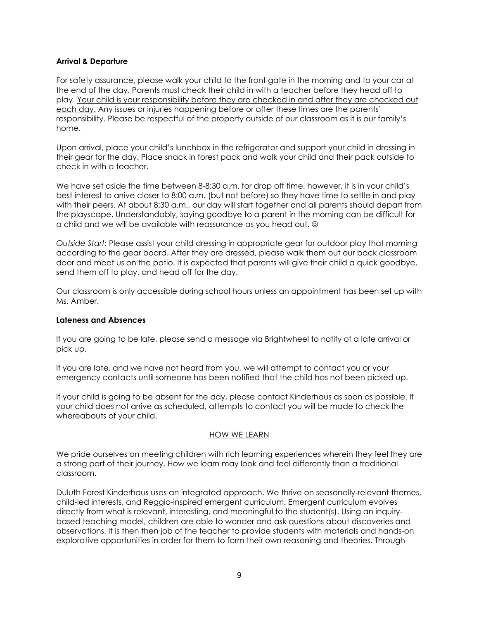## **Arrival & Departure**

For safety assurance, please walk your child to the front gate in the morning and to your car at the end of the day. Parents must check their child in with a teacher before they head off to play. Your child is your responsibility before they are checked in and after they are checked out each day. Any issues or injuries happening before or after these times are the parents' responsibility. Please be respectful of the property outside of our classroom as it is our family's home.

Upon arrival, place your child's lunchbox in the refrigerator and support your child in dressing in their gear for the day. Place snack in forest pack and walk your child and their pack outside to check in with a teacher.

We have set aside the time between 8-8:30 a.m. for drop off time, however, it is in your child's best interest to arrive closer to 8:00 a.m. (but not before) so they have time to settle in and play with their peers. At about 8:30 a.m., our day will start together and all parents should depart from the playscape. Understandably, saying goodbye to a parent in the morning can be difficult for a child and we will be available with reassurance as you head out.

*Outside Start:* Please assist your child dressing in appropriate gear for outdoor play that morning according to the gear board. After they are dressed, please walk them out our back classroom door and meet us on the patio. It is expected that parents will give their child a quick goodbye, send them off to play, and head off for the day.

Our classroom is only accessible during school hours unless an appointment has been set up with Ms. Amber.

#### **Lateness and Absences**

If you are going to be late, please send a message via Brightwheel to notify of a late arrival or pick up.

If you are late, and we have not heard from you, we will attempt to contact you or your emergency contacts until someone has been notified that the child has not been picked up.

If your child is going to be absent for the day, please contact Kinderhaus as soon as possible. If your child does not arrive as scheduled, attempts to contact you will be made to check the whereabouts of your child.

#### HOW WE LEARN

We pride ourselves on meeting children with rich learning experiences wherein they feel they are a strong part of their journey. How we learn may look and feel differently than a traditional classroom.

Duluth Forest Kinderhaus uses an integrated approach. We thrive on seasonally-relevant themes, child-led interests, and Reggio-inspired emergent curriculum. Emergent curriculum evolves directly from what is relevant, interesting, and meaningful to the student(s). Using an inquirybased teaching model, children are able to wonder and ask questions about discoveries and observations. It is then then job of the teacher to provide students with materials and hands-on explorative opportunities in order for them to form their own reasoning and theories. Through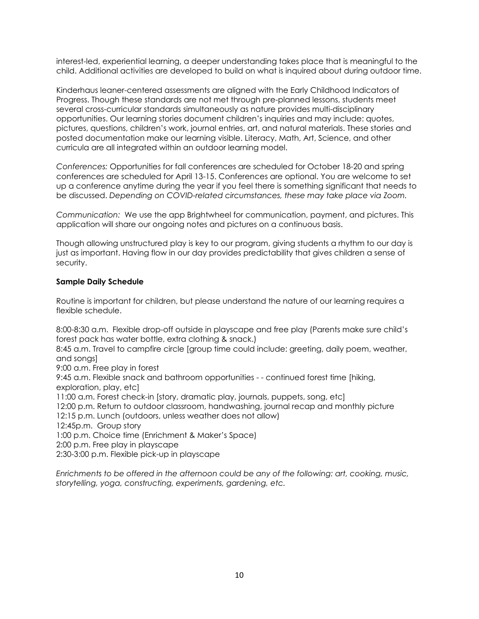interest-led, experiential learning, a deeper understanding takes place that is meaningful to the child. Additional activities are developed to build on what is inquired about during outdoor time.

Kinderhaus leaner-centered assessments are aligned with the Early Childhood Indicators of Progress. Though these standards are not met through pre-planned lessons, students meet several cross-curricular standards simultaneously as nature provides multi-disciplinary opportunities. Our learning stories document children's inquiries and may include: quotes, pictures, questions, children's work, journal entries, art, and natural materials. These stories and posted documentation make our learning visible. Literacy, Math, Art, Science, and other curricula are all integrated within an outdoor learning model.

*Conferences:* Opportunities for fall conferences are scheduled for October 18-20 and spring conferences are scheduled for April 13-15. Conferences are optional. You are welcome to set up a conference anytime during the year if you feel there is something significant that needs to be discussed. *Depending on COVID-related circumstances, these may take place via Zoom.*

*Communication:* We use the app Brightwheel for communication, payment, and pictures. This application will share our ongoing notes and pictures on a continuous basis.

Though allowing unstructured play is key to our program, giving students a rhythm to our day is just as important. Having flow in our day provides predictability that gives children a sense of security.

## **Sample Daily Schedule**

Routine is important for children, but please understand the nature of our learning requires a flexible schedule.

8:00-8:30 a.m. Flexible drop-off outside in playscape and free play (Parents make sure child's forest pack has water bottle, extra clothing & snack.)

8:45 a.m. Travel to campfire circle [group time could include: greeting, daily poem, weather, and songs]

9:00 a.m. Free play in forest

9:45 a.m. Flexible snack and bathroom opportunities - - continued forest time [hiking, exploration, play, etc]

11:00 a.m. Forest check-in [story, dramatic play, journals, puppets, song, etc]

12:00 p.m. Return to outdoor classroom, handwashing, journal recap and monthly picture 12:15 p.m. Lunch (outdoors, unless weather does not allow)

12:45p.m. Group story

1:00 p.m. Choice time (Enrichment & Maker's Space)

2:00 p.m. Free play in playscape

2:30-3:00 p.m. Flexible pick-up in playscape

*Enrichments to be offered in the afternoon could be any of the following: art, cooking, music, storytelling, yoga, constructing, experiments, gardening, etc.*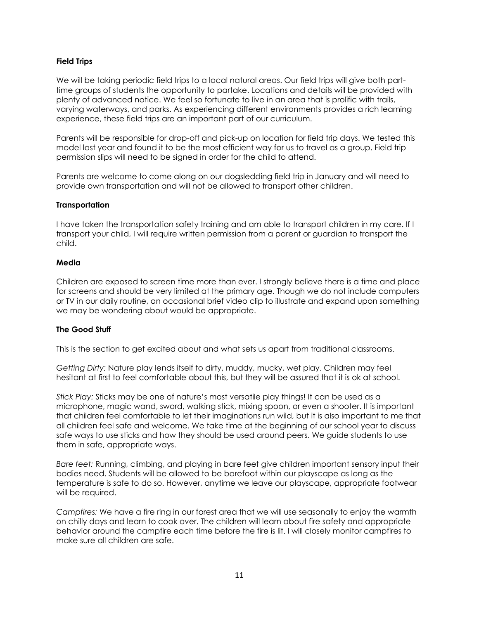## **Field Trips**

We will be taking periodic field trips to a local natural areas. Our field trips will give both parttime groups of students the opportunity to partake. Locations and details will be provided with plenty of advanced notice. We feel so fortunate to live in an area that is prolific with trails, varying waterways, and parks. As experiencing different environments provides a rich learning experience, these field trips are an important part of our curriculum.

Parents will be responsible for drop-off and pick-up on location for field trip days. We tested this model last year and found it to be the most efficient way for us to travel as a group. Field trip permission slips will need to be signed in order for the child to attend.

Parents are welcome to come along on our dogsledding field trip in January and will need to provide own transportation and will not be allowed to transport other children.

## **Transportation**

I have taken the transportation safety training and am able to transport children in my care. If I transport your child, I will require written permission from a parent or guardian to transport the child.

### **Media**

Children are exposed to screen time more than ever. I strongly believe there is a time and place for screens and should be very limited at the primary age. Though we do not include computers or TV in our daily routine, an occasional brief video clip to illustrate and expand upon something we may be wondering about would be appropriate.

## **The Good Stuff**

This is the section to get excited about and what sets us apart from traditional classrooms.

*Getting Dirty:* Nature play lends itself to dirty, muddy, mucky, wet play. Children may feel hesitant at first to feel comfortable about this, but they will be assured that it is ok at school.

*Stick Play:* Sticks may be one of nature's most versatile play things! It can be used as a microphone, magic wand, sword, walking stick, mixing spoon, or even a shooter. It is important that children feel comfortable to let their imaginations run wild, but it is also important to me that all children feel safe and welcome. We take time at the beginning of our school year to discuss safe ways to use sticks and how they should be used around peers. We guide students to use them in safe, appropriate ways.

*Bare feet:* Running, climbing, and playing in bare feet give children important sensory input their bodies need. Students will be allowed to be barefoot within our playscape as long as the temperature is safe to do so. However, anytime we leave our playscape, appropriate footwear will be required.

*Campfires:* We have a fire ring in our forest area that we will use seasonally to enjoy the warmth on chilly days and learn to cook over. The children will learn about fire safety and appropriate behavior around the campfire each time before the fire is lit. I will closely monitor campfires to make sure all children are safe.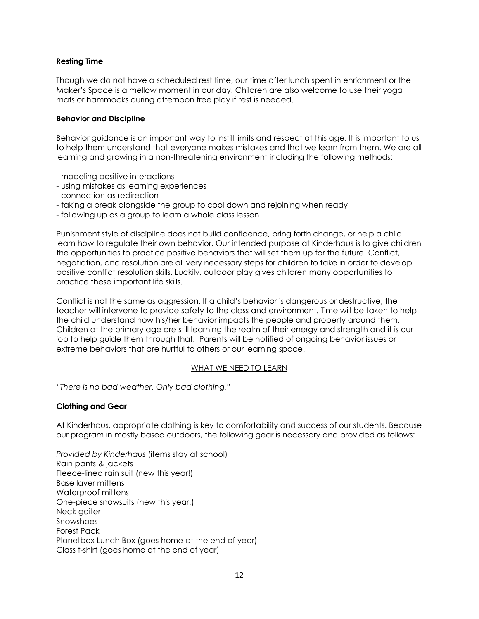## **Resting Time**

Though we do not have a scheduled rest time, our time after lunch spent in enrichment or the Maker's Space is a mellow moment in our day. Children are also welcome to use their yoga mats or hammocks during afternoon free play if rest is needed.

## **Behavior and Discipline**

Behavior guidance is an important way to instill limits and respect at this age. It is important to us to help them understand that everyone makes mistakes and that we learn from them. We are all learning and growing in a non-threatening environment including the following methods:

- modeling positive interactions
- using mistakes as learning experiences
- connection as redirection
- taking a break alongside the group to cool down and rejoining when ready
- following up as a group to learn a whole class lesson

Punishment style of discipline does not build confidence, bring forth change, or help a child learn how to regulate their own behavior. Our intended purpose at Kinderhaus is to give children the opportunities to practice positive behaviors that will set them up for the future. Conflict, negotiation, and resolution are all very necessary steps for children to take in order to develop positive conflict resolution skills. Luckily, outdoor play gives children many opportunities to practice these important life skills.

Conflict is not the same as aggression. If a child's behavior is dangerous or destructive, the teacher will intervene to provide safety to the class and environment. Time will be taken to help the child understand how his/her behavior impacts the people and property around them. Children at the primary age are still learning the realm of their energy and strength and it is our job to help guide them through that. Parents will be notified of ongoing behavior issues or extreme behaviors that are hurtful to others or our learning space.

## WHAT WE NEED TO LEARN

*"There is no bad weather. Only bad clothing."*

## **Clothing and Gear**

At Kinderhaus, appropriate clothing is key to comfortability and success of our students. Because our program in mostly based outdoors, the following gear is necessary and provided as follows:

*Provided by Kinderhaus* (items stay at school) Rain pants & jackets Fleece-lined rain suit (new this year!) Base layer mittens Waterproof mittens One-piece snowsuits (new this year!) Neck gaiter Snowshoes Forest Pack Planetbox Lunch Box (goes home at the end of year) Class t-shirt (goes home at the end of year)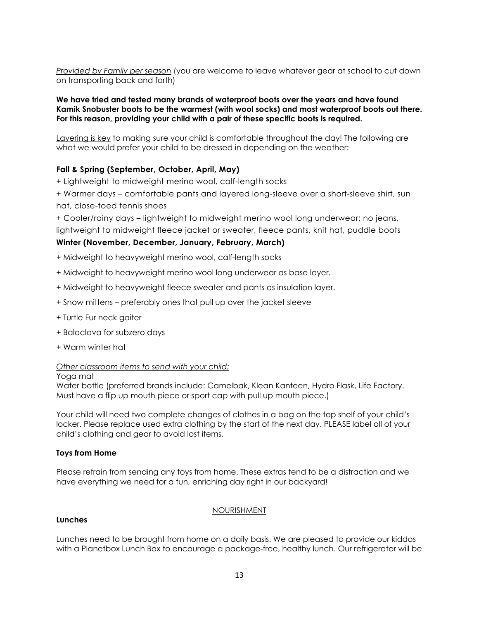*Provided by Family per season* (you are welcome to leave whatever gear at school to cut down on transporting back and forth)

#### **We have tried and tested many brands of waterproof boots over the years and have found Kamik Snobuster boots to be the warmest (with wool socks) and most waterproof boots out there. For this reason, providing your child with a pair of these specific boots is required.**

Layering is key to making sure your child is comfortable throughout the day! The following are what we would prefer your child to be dressed in depending on the weather:

## **Fall & Spring (September, October, April, May)**

+ Lightweight to midweight merino wool, calf-length socks

+ Warmer days – comfortable pants and layered long-sleeve over a short-sleeve shirt, sun hat, close-toed tennis shoes

+ Cooler/rainy days – lightweight to midweight merino wool long underwear; no jeans,

lightweight to midweight fleece jacket or sweater, fleece pants, knit hat, puddle boots

## **Winter (November, December, January, February, March)**

- + Midweight to heavyweight merino wool, calf-length socks
- + Midweight to heavyweight merino wool long underwear as base layer.
- + Midweight to heavyweight fleece sweater and pants as insulation layer.
- + Snow mittens preferably ones that pull up over the jacket sleeve
- + Turtle Fur neck gaiter
- + Balaclava for subzero days
- + Warm winter hat

#### *Other classroom items to send with your child:*

#### Yoga mat

Water bottle (preferred brands include: Camelbak, Klean Kanteen, Hydro Flask, Life Factory. Must have a flip up mouth piece or sport cap with pull up mouth piece.)

Your child will need two complete changes of clothes in a bag on the top shelf of your child's locker. Please replace used extra clothing by the start of the next day. PLEASE label all of your child's clothing and gear to avoid lost items.

#### **Toys from Home**

Please refrain from sending any toys from home. These extras tend to be a distraction and we have everything we need for a fun, enriching day right in our backyard!

#### **Lunches**

#### **NOURISHMENT**

Lunches need to be brought from home on a daily basis. We are pleased to provide our kiddos with a Planetbox Lunch Box to encourage a package-free, healthy lunch. Our refrigerator will be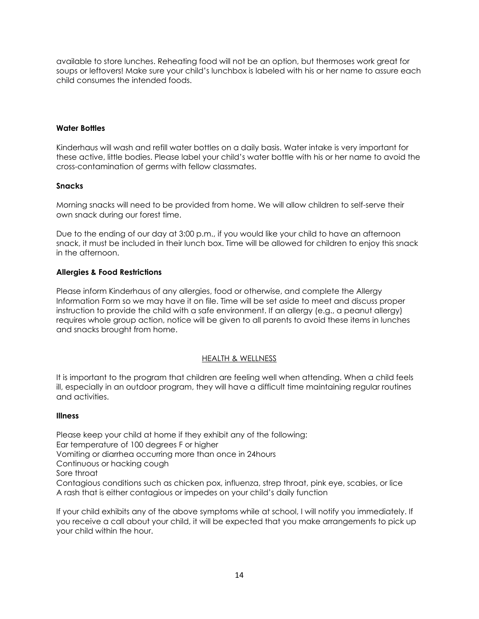available to store lunches. Reheating food will not be an option, but thermoses work great for soups or leftovers! Make sure your child's lunchbox is labeled with his or her name to assure each child consumes the intended foods.

## **Water Bottles**

Kinderhaus will wash and refill water bottles on a daily basis. Water intake is very important for these active, little bodies. Please label your child's water bottle with his or her name to avoid the cross-contamination of germs with fellow classmates.

## **Snacks**

Morning snacks will need to be provided from home. We will allow children to self-serve their own snack during our forest time.

Due to the ending of our day at 3:00 p.m., if you would like your child to have an afternoon snack, it must be included in their lunch box. Time will be allowed for children to enjoy this snack in the afternoon.

## **Allergies & Food Restrictions**

Please inform Kinderhaus of any allergies, food or otherwise, and complete the Allergy Information Form so we may have it on file. Time will be set aside to meet and discuss proper instruction to provide the child with a safe environment. If an allergy (e.g., a peanut allergy) requires whole group action, notice will be given to all parents to avoid these items in lunches and snacks brought from home.

## HEALTH & WELLNESS

It is important to the program that children are feeling well when attending. When a child feels ill, especially in an outdoor program, they will have a difficult time maintaining regular routines and activities.

## **Illness**

Please keep your child at home if they exhibit any of the following: Ear temperature of 100 degrees F or higher Vomiting or diarrhea occurring more than once in 24hours Continuous or hacking cough Sore throat Contagious conditions such as chicken pox, influenza, strep throat, pink eye, scabies, or lice A rash that is either contagious or impedes on your child's daily function

If your child exhibits any of the above symptoms while at school, I will notify you immediately. If you receive a call about your child, it will be expected that you make arrangements to pick up your child within the hour.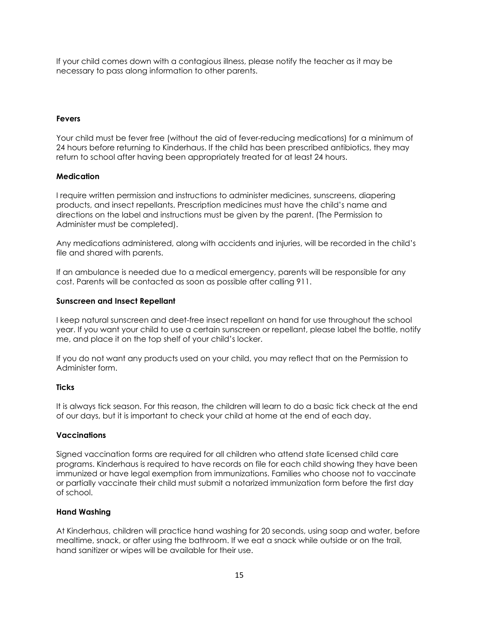If your child comes down with a contagious illness, please notify the teacher as it may be necessary to pass along information to other parents.

## **Fevers**

Your child must be fever free (without the aid of fever-reducing medications) for a minimum of 24 hours before returning to Kinderhaus. If the child has been prescribed antibiotics, they may return to school after having been appropriately treated for at least 24 hours.

## **Medication**

I require written permission and instructions to administer medicines, sunscreens, diapering products, and insect repellants. Prescription medicines must have the child's name and directions on the label and instructions must be given by the parent. (The Permission to Administer must be completed).

Any medications administered, along with accidents and injuries, will be recorded in the child's file and shared with parents.

If an ambulance is needed due to a medical emergency, parents will be responsible for any cost. Parents will be contacted as soon as possible after calling 911.

## **Sunscreen and Insect Repellant**

I keep natural sunscreen and deet-free insect repellant on hand for use throughout the school year. If you want your child to use a certain sunscreen or repellant, please label the bottle, notify me, and place it on the top shelf of your child's locker.

If you do not want any products used on your child, you may reflect that on the Permission to Administer form.

## **Ticks**

It is always tick season. For this reason, the children will learn to do a basic tick check at the end of our days, but it is important to check your child at home at the end of each day.

## **Vaccinations**

Signed vaccination forms are required for all children who attend state licensed child care programs. Kinderhaus is required to have records on file for each child showing they have been immunized or have legal exemption from immunizations. Families who choose not to vaccinate or partially vaccinate their child must submit a notarized immunization form before the first day of school.

## **Hand Washing**

At Kinderhaus, children will practice hand washing for 20 seconds, using soap and water, before mealtime, snack, or after using the bathroom. If we eat a snack while outside or on the trail, hand sanitizer or wipes will be available for their use.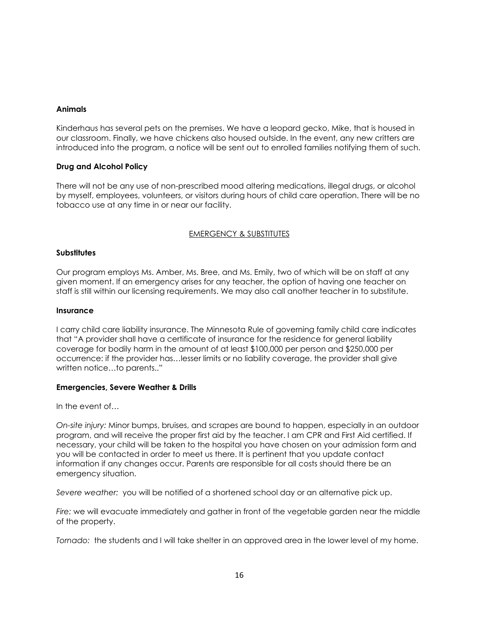## **Animals**

Kinderhaus has several pets on the premises. We have a leopard gecko, Mike, that is housed in our classroom. Finally, we have chickens also housed outside. In the event, any new critters are introduced into the program, a notice will be sent out to enrolled families notifying them of such.

## **Drug and Alcohol Policy**

There will not be any use of non-prescribed mood altering medications, illegal drugs, or alcohol by myself, employees, volunteers, or visitors during hours of child care operation. There will be no tobacco use at any time in or near our facility.

## EMERGENCY & SUBSTITUTES

## **Substitutes**

Our program employs Ms. Amber, Ms. Bree, and Ms. Emily, two of which will be on staff at any given moment. If an emergency arises for any teacher, the option of having one teacher on staff is still within our licensing requirements. We may also call another teacher in to substitute.

#### **Insurance**

I carry child care liability insurance. The Minnesota Rule of governing family child care indicates that "A provider shall have a certificate of insurance for the residence for general liability coverage for bodily harm in the amount of at least \$100,000 per person and \$250,000 per occurrence: if the provider has…lesser limits or no liability coverage, the provider shall give written notice…to parents.."

## **Emergencies, Severe Weather & Drills**

In the event of…

*On-site injury:* Minor bumps, bruises, and scrapes are bound to happen, especially in an outdoor program, and will receive the proper first aid by the teacher. I am CPR and First Aid certified. If necessary, your child will be taken to the hospital you have chosen on your admission form and you will be contacted in order to meet us there. It is pertinent that you update contact information if any changes occur. Parents are responsible for all costs should there be an emergency situation.

*Severe weather:* you will be notified of a shortened school day or an alternative pick up.

*Fire:* we will evacuate immediately and gather in front of the vegetable garden near the middle of the property.

*Tornado:* the students and I will take shelter in an approved area in the lower level of my home.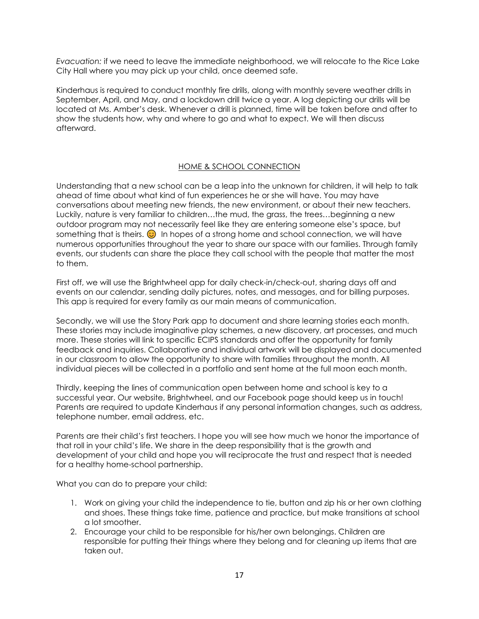*Evacuation:* if we need to leave the immediate neighborhood, we will relocate to the Rice Lake City Hall where you may pick up your child, once deemed safe.

Kinderhaus is required to conduct monthly fire drills, along with monthly severe weather drills in September, April, and May, and a lockdown drill twice a year. A log depicting our drills will be located at Ms. Amber's desk. Whenever a drill is planned, time will be taken before and after to show the students how, why and where to go and what to expect. We will then discuss afterward.

## HOME & SCHOOL CONNECTION

Understanding that a new school can be a leap into the unknown for children, it will help to talk ahead of time about what kind of fun experiences he or she will have. You may have conversations about meeting new friends, the new environment, or about their new teachers. Luckily, nature is very familiar to children…the mud, the grass, the trees…beginning a new outdoor program may not necessarily feel like they are entering someone else's space, but something that is theirs.  $\odot$  In hopes of a strong home and school connection, we will have numerous opportunities throughout the year to share our space with our families. Through family events, our students can share the place they call school with the people that matter the most to them.

First off, we will use the Brightwheel app for daily check-in/check-out, sharing days off and events on our calendar, sending daily pictures, notes, and messages, and for billing purposes. This app is required for every family as our main means of communication.

Secondly, we will use the Story Park app to document and share learning stories each month. These stories may include imaginative play schemes, a new discovery, art processes, and much more. These stories will link to specific ECIPS standards and offer the opportunity for family feedback and inquiries. Collaborative and individual artwork will be displayed and documented in our classroom to allow the opportunity to share with families throughout the month. All individual pieces will be collected in a portfolio and sent home at the full moon each month.

Thirdly, keeping the lines of communication open between home and school is key to a successful year. Our website, Brightwheel, and our Facebook page should keep us in touch! Parents are required to update Kinderhaus if any personal information changes, such as address, telephone number, email address, etc.

Parents are their child's first teachers. I hope you will see how much we honor the importance of that roll in your child's life. We share in the deep responsibility that is the growth and development of your child and hope you will reciprocate the trust and respect that is needed for a healthy home-school partnership.

What you can do to prepare your child:

- 1. Work on giving your child the independence to tie, button and zip his or her own clothing and shoes. These things take time, patience and practice, but make transitions at school a lot smoother.
- 2. Encourage your child to be responsible for his/her own belongings. Children are responsible for putting their things where they belong and for cleaning up items that are taken out.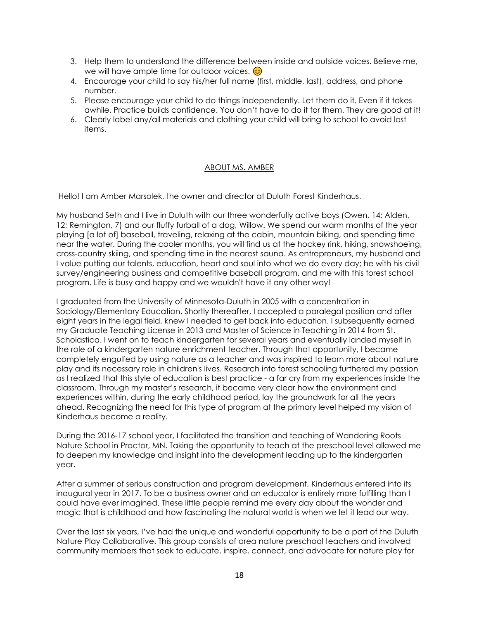- 3. Help them to understand the difference between inside and outside voices. Believe me, we will have ample time for outdoor voices.  $\odot$
- 4. Encourage your child to say his/her full name (first, middle, last), address, and phone number.
- 5. Please encourage your child to do things independently. Let them do it. Even if it takes awhile. Practice builds confidence. You don't have to do it for them. They are good at it!
- 6. Clearly label any/all materials and clothing your child will bring to school to avoid lost items.

### ABOUT MS. AMBER

Hello! I am Amber Marsolek, the owner and director at Duluth Forest Kinderhaus.

My husband Seth and I live in Duluth with our three wonderfully active boys (Owen, 14; Alden, 12; Remington, 7) and our fluffy furball of a dog, Willow. We spend our warm months of the year playing [a lot of] baseball, traveling, relaxing at the cabin, mountain biking, and spending time near the water. During the cooler months, you will find us at the hockey rink, hiking, snowshoeing, cross-country skiing, and spending time in the nearest sauna. As entrepreneurs, my husband and I value putting our talents, education, heart and soul into what we do every day; he with his civil survey/engineering business and competitive baseball program, and me with this forest school program. Life is busy and happy and we wouldn't have it any other way!

I graduated from the University of Minnesota-Duluth in 2005 with a concentration in Sociology/Elementary Education. Shortly thereafter, I accepted a paralegal position and after eight years in the legal field, knew I needed to get back into education. I subsequently earned my Graduate Teaching License in 2013 and Master of Science in Teaching in 2014 from St. Scholastica. I went on to teach kindergarten for several years and eventually landed myself in the role of a kindergarten nature enrichment teacher. Through that opportunity, I became completely engulfed by using nature as a teacher and was inspired to learn more about nature play and its necessary role in children's lives. Research into forest schooling furthered my passion as I realized that this style of education is best practice - a far cry from my experiences inside the classroom. Through my master's research, it became very clear how the environment and experiences within, during the early childhood period, lay the groundwork for all the years ahead. Recognizing the need for this type of program at the primary level helped my vision of Kinderhaus become a reality.

During the 2016-17 school year, I facilitated the transition and teaching of Wandering Roots Nature School in Proctor, MN. Taking the opportunity to teach at the preschool level allowed me to deepen my knowledge and insight into the development leading up to the kindergarten year.

After a summer of serious construction and program development, Kinderhaus entered into its inaugural year in 2017. To be a business owner and an educator is entirely more fulfilling than I could have ever imagined. These little people remind me every day about the wonder and magic that is childhood and how fascinating the natural world is when we let it lead our way.

Over the last six years, I've had the unique and wonderful opportunity to be a part of the Duluth Nature Play Collaborative. This group consists of area nature preschool teachers and involved community members that seek to educate, inspire, connect, and advocate for nature play for